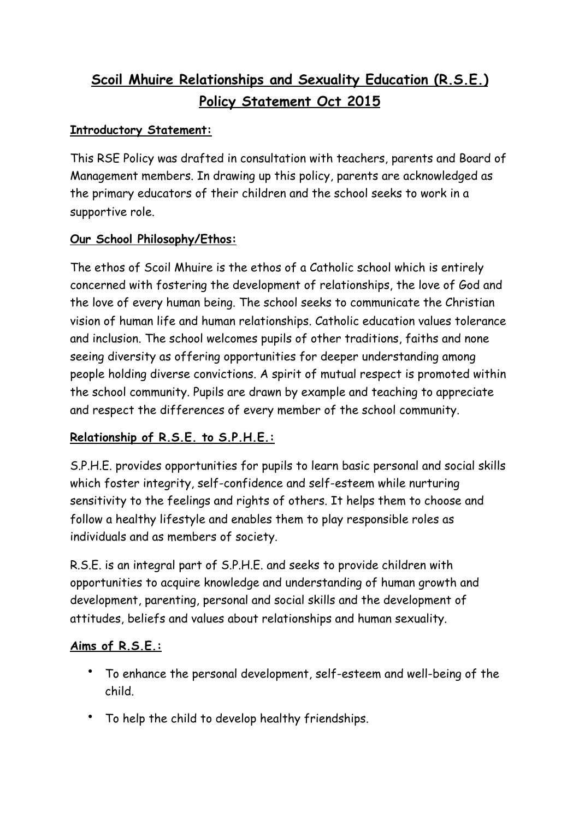# **Scoil Mhuire Relationships and Sexuality Education (R.S.E.) Policy Statement Oct 2015**

## **Introductory Statement:**

This RSE Policy was drafted in consultation with teachers, parents and Board of Management members. In drawing up this policy, parents are acknowledged as the primary educators of their children and the school seeks to work in a supportive role.

## **Our School Philosophy/Ethos:**

The ethos of Scoil Mhuire is the ethos of a Catholic school which is entirely concerned with fostering the development of relationships, the love of God and the love of every human being. The school seeks to communicate the Christian vision of human life and human relationships. Catholic education values tolerance and inclusion. The school welcomes pupils of other traditions, faiths and none seeing diversity as offering opportunities for deeper understanding among people holding diverse convictions. A spirit of mutual respect is promoted within the school community. Pupils are drawn by example and teaching to appreciate and respect the differences of every member of the school community.

# **Relationship of R.S.E. to S.P.H.E.:**

S.P.H.E. provides opportunities for pupils to learn basic personal and social skills which foster integrity, self-confidence and self-esteem while nurturing sensitivity to the feelings and rights of others. It helps them to choose and follow a healthy lifestyle and enables them to play responsible roles as individuals and as members of society.

R.S.E. is an integral part of S.P.H.E. and seeks to provide children with opportunities to acquire knowledge and understanding of human growth and development, parenting, personal and social skills and the development of attitudes, beliefs and values about relationships and human sexuality.

# **Aims of R.S.E.:**

- To enhance the personal development, self-esteem and well-being of the child.
- To help the child to develop healthy friendships.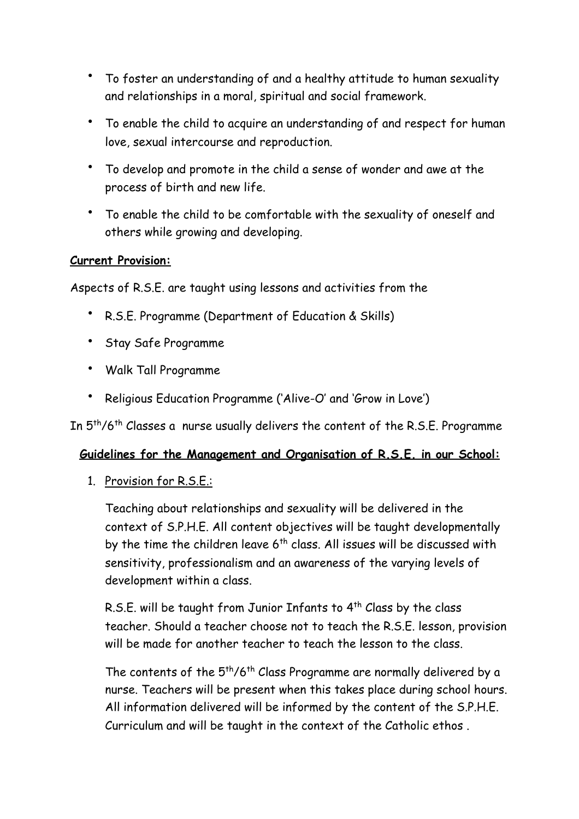- To foster an understanding of and a healthy attitude to human sexuality and relationships in a moral, spiritual and social framework.
- To enable the child to acquire an understanding of and respect for human love, sexual intercourse and reproduction.
- To develop and promote in the child a sense of wonder and awe at the process of birth and new life.
- To enable the child to be comfortable with the sexuality of oneself and others while growing and developing.

#### **Current Provision:**

Aspects of R.S.E. are taught using lessons and activities from the

- R.S.E. Programme (Department of Education & Skills)
- Stay Safe Programme
- Walk Tall Programme
- Religious Education Programme ('Alive-O' and 'Grow in Love')

In 5th/6th Classes a nurse usually delivers the content of the R.S.E. Programme

#### **Guidelines for the Management and Organisation of R.S.E. in our School:**

1. Provision for R.S.E.:

Teaching about relationships and sexuality will be delivered in the context of S.P.H.E. All content objectives will be taught developmentally by the time the children leave  $6<sup>th</sup>$  class. All issues will be discussed with sensitivity, professionalism and an awareness of the varying levels of development within a class.

R.S.E. will be taught from Junior Infants to 4<sup>th</sup> Class by the class teacher. Should a teacher choose not to teach the R.S.E. lesson, provision will be made for another teacher to teach the lesson to the class.

The contents of the  $5<sup>th</sup>/6<sup>th</sup>$  Class Programme are normally delivered by a nurse. Teachers will be present when this takes place during school hours. All information delivered will be informed by the content of the S.P.H.E. Curriculum and will be taught in the context of the Catholic ethos .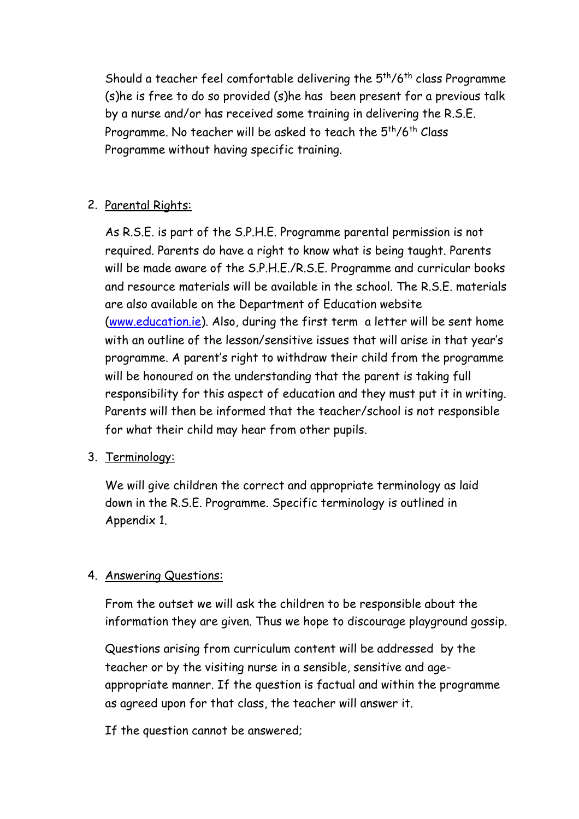Should a teacher feel comfortable delivering the  $5<sup>th</sup>/6<sup>th</sup>$  class Programme (s)he is free to do so provided (s)he has been present for a previous talk by a nurse and/or has received some training in delivering the R.S.E. Programme. No teacher will be asked to teach the 5<sup>th</sup>/6<sup>th</sup> Class Programme without having specific training.

## 2. Parental Rights:

As R.S.E. is part of the S.P.H.E. Programme parental permission is not required. Parents do have a right to know what is being taught. Parents will be made aware of the S.P.H.E./R.S.E. Programme and curricular books and resource materials will be available in the school. The R.S.E. materials are also available on the Department of Education website [\(www.education.ie\)](http://www.education.ie). Also, during the first term a letter will be sent home with an outline of the lesson/sensitive issues that will arise in that year's programme. A parent's right to withdraw their child from the programme will be honoured on the understanding that the parent is taking full responsibility for this aspect of education and they must put it in writing. Parents will then be informed that the teacher/school is not responsible for what their child may hear from other pupils.

#### 3. Terminology:

We will give children the correct and appropriate terminology as laid down in the R.S.E. Programme. Specific terminology is outlined in Appendix 1.

#### 4. Answering Questions:

From the outset we will ask the children to be responsible about the information they are given. Thus we hope to discourage playground gossip.

Questions arising from curriculum content will be addressed by the teacher or by the visiting nurse in a sensible, sensitive and ageappropriate manner. If the question is factual and within the programme as agreed upon for that class, the teacher will answer it.

If the question cannot be answered;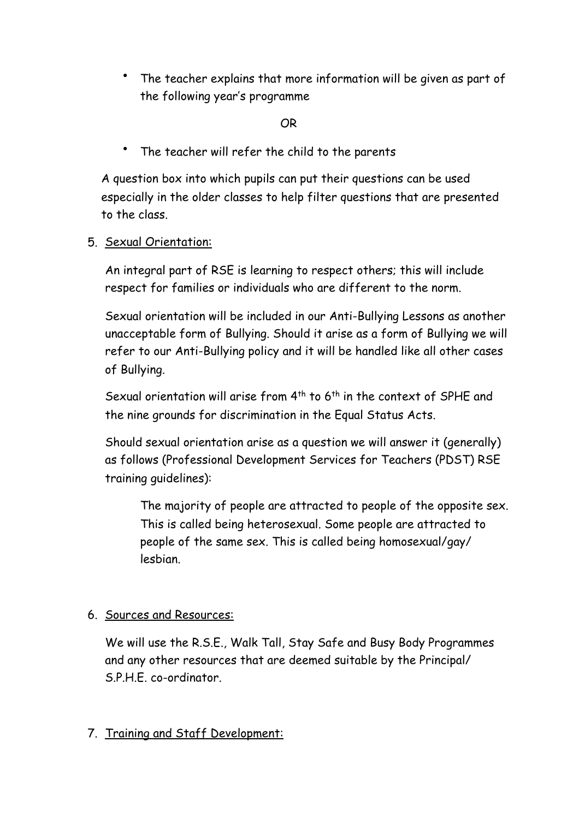• The teacher explains that more information will be given as part of the following year's programme

#### OR

The teacher will refer the child to the parents

A question box into which pupils can put their questions can be used especially in the older classes to help filter questions that are presented to the class.

5. Sexual Orientation:

An integral part of RSE is learning to respect others; this will include respect for families or individuals who are different to the norm.

Sexual orientation will be included in our Anti-Bullying Lessons as another unacceptable form of Bullying. Should it arise as a form of Bullying we will refer to our Anti-Bullying policy and it will be handled like all other cases of Bullying.

Sexual orientation will arise from 4<sup>th</sup> to 6<sup>th</sup> in the context of SPHE and the nine grounds for discrimination in the Equal Status Acts.

Should sexual orientation arise as a question we will answer it (generally) as follows (Professional Development Services for Teachers (PDST) RSE training guidelines):

The majority of people are attracted to people of the opposite sex. This is called being heterosexual. Some people are attracted to people of the same sex. This is called being homosexual/gay/ lesbian.

#### 6. Sources and Resources:

We will use the R.S.E., Walk Tall, Stay Safe and Busy Body Programmes and any other resources that are deemed suitable by the Principal/ S.P.H.E. co-ordinator.

#### 7. Training and Staff Development: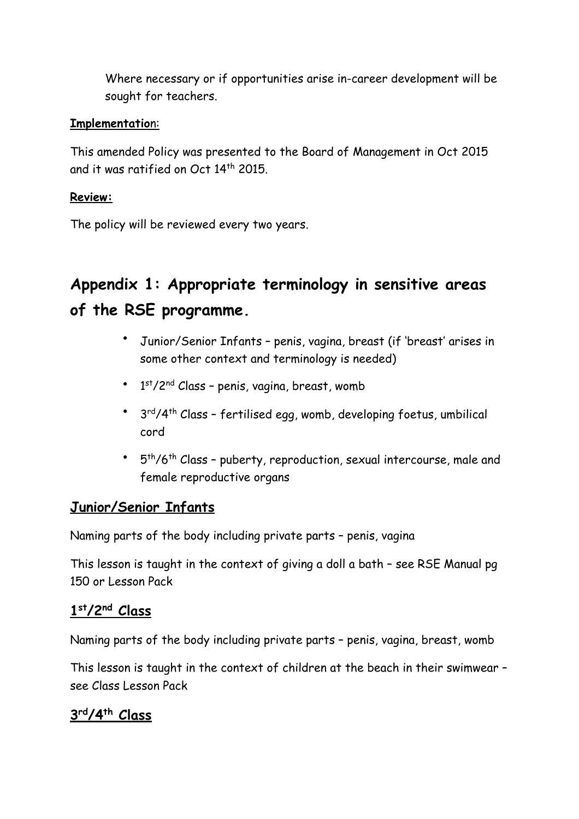Where necessary or if opportunities arise in-career development will be sought for teachers.

#### **Implementatio**n:

This amended Policy was presented to the Board of Management in Oct 2015 and it was ratified on Oct 14th 2015.

#### **Review:**

The policy will be reviewed every two years.

# **Appendix 1: Appropriate terminology in sensitive areas of the RSE programme.**

- Junior/Senior Infants penis, vagina, breast (if 'breast' arises in some other context and terminology is needed)
- $\cdot$  1st/2<sup>nd</sup> Class penis, vagina, breast, womb
- 3<sup>rd</sup>/4<sup>th</sup> Class fertilised egg, womb, developing foetus, umbilical cord
- 5th/6th Class puberty, reproduction, sexual intercourse, male and female reproductive organs

# **Junior/Senior Infants**

Naming parts of the body including private parts – penis, vagina

This lesson is taught in the context of giving a doll a bath – see RSE Manual pg 150 or Lesson Pack

# **1st/2nd Class**

Naming parts of the body including private parts – penis, vagina, breast, womb

This lesson is taught in the context of children at the beach in their swimwear – see Class Lesson Pack

# **3rd/4th Class**